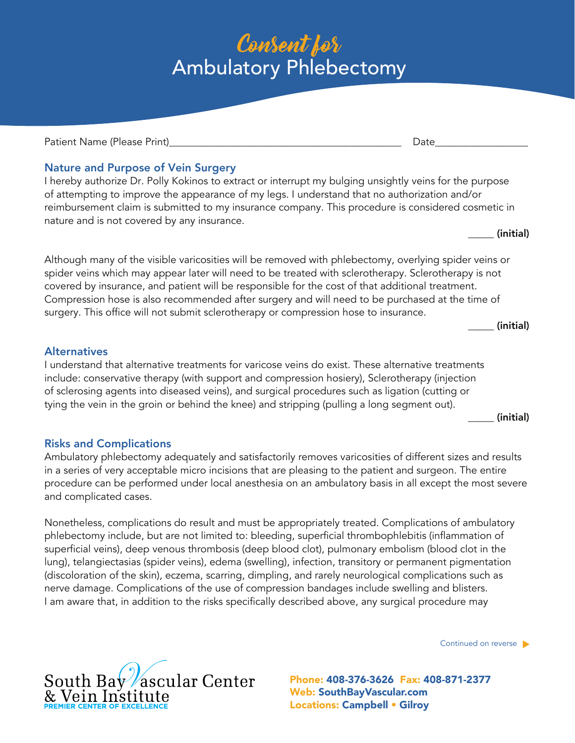# Consent for Ambulatory Phlebectomy

Patient Name (Please Print) and the set of the set of the set of the set of the set of the set of the set of t

Nature and Purpose of Vein Surgery

I hereby authorize Dr. Polly Kokinos to extract or interrupt my bulging unsightly veins for the purpose of attempting to improve the appearance of my legs. I understand that no authorization and/or reimbursement claim is submitted to my insurance company. This procedure is considered cosmetic in nature and is not covered by any insurance.

\_\_\_\_\_ (initial)

Although many of the visible varicosities will be removed with phlebectomy, overlying spider veins or spider veins which may appear later will need to be treated with sclerotherapy. Sclerotherapy is not covered by insurance, and patient will be responsible for the cost of that additional treatment. Compression hose is also recommended after surgery and will need to be purchased at the time of surgery. This office will not submit sclerotherapy or compression hose to insurance.

\_\_\_\_\_ (initial)

### **Alternatives**

I understand that alternative treatments for varicose veins do exist. These alternative treatments include: conservative therapy (with support and compression hosiery), Sclerotherapy (injection of sclerosing agents into diseased veins), and surgical procedures such as ligation (cutting or tying the vein in the groin or behind the knee) and stripping (pulling a long segment out).

\_\_\_\_\_ (initial)

## Risks and Complications

Ambulatory phlebectomy adequately and satisfactorily removes varicosities of different sizes and results in a series of very acceptable micro incisions that are pleasing to the patient and surgeon. The entire procedure can be performed under local anesthesia on an ambulatory basis in all except the most severe and complicated cases.

Nonetheless, complications do result and must be appropriately treated. Complications of ambulatory phlebectomy include, but are not limited to: bleeding, superficial thrombophlebitis (inflammation of superficial veins), deep venous thrombosis (deep blood clot), pulmonary embolism (blood clot in the lung), telangiectasias (spider veins), edema (swelling), infection, transitory or permanent pigmentation (discoloration of the skin), eczema, scarring, dimpling, and rarely neurological complications such as nerve damage. Complications of the use of compression bandages include swelling and blisters. I am aware that, in addition to the risks specifically described above, any surgical procedure may

Continued on reverse  $\blacktriangleright$ 

Web: SouthBayVascular.com Locations: Campbell • Gilroy Phone: 408-376-3626 Fax: 408-871-2377

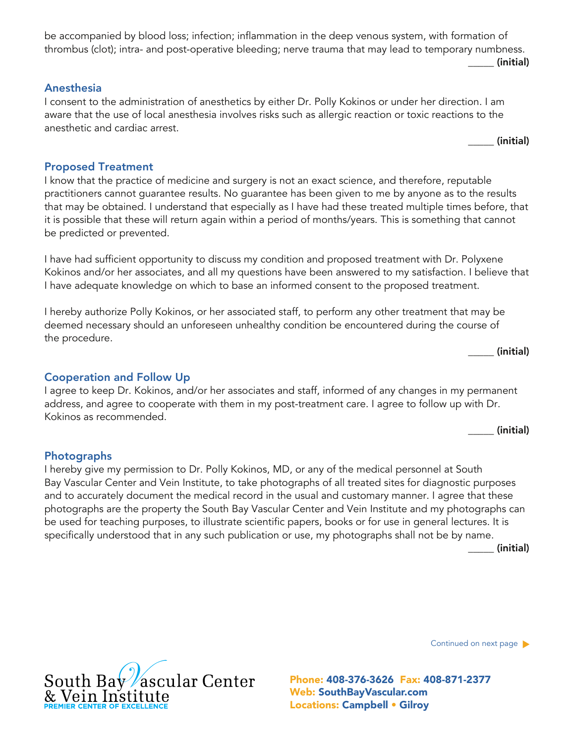be accompanied by blood loss; infection; inflammation in the deep venous system, with formation of thrombus (clot); intra- and post-operative bleeding; nerve trauma that may lead to temporary numbness.

#### Anesthesia

I consent to the administration of anesthetics by either Dr. Polly Kokinos or under her direction. I am aware that the use of local anesthesia involves risks such as allergic reaction or toxic reactions to the anesthetic and cardiac arrest.

\_\_\_\_\_ (initial)

\_\_\_\_\_ (initial)

#### Proposed Treatment

I know that the practice of medicine and surgery is not an exact science, and therefore, reputable practitioners cannot guarantee results. No guarantee has been given to me by anyone as to the results that may be obtained. I understand that especially as I have had these treated multiple times before, that it is possible that these will return again within a period of months/years. This is something that cannot be predicted or prevented.

I have had sufficient opportunity to discuss my condition and proposed treatment with Dr. Polyxene Kokinos and/or her associates, and all my questions have been answered to my satisfaction. I believe that I have adequate knowledge on which to base an informed consent to the proposed treatment.

I hereby authorize Polly Kokinos, or her associated staff, to perform any other treatment that may be deemed necessary should an unforeseen unhealthy condition be encountered during the course of the procedure.

\_\_\_\_\_ (initial)

#### Cooperation and Follow Up

I agree to keep Dr. Kokinos, and/or her associates and staff, informed of any changes in my permanent address, and agree to cooperate with them in my post-treatment care. I agree to follow up with Dr. Kokinos as recommended.

\_\_\_\_\_ (initial)

#### Photographs

I hereby give my permission to Dr. Polly Kokinos, MD, or any of the medical personnel at South Bay Vascular Center and Vein Institute, to take photographs of all treated sites for diagnostic purposes and to accurately document the medical record in the usual and customary manner. I agree that these photographs are the property the South Bay Vascular Center and Vein Institute and my photographs can be used for teaching purposes, to illustrate scientific papers, books or for use in general lectures. It is specifically understood that in any such publication or use, my photographs shall not be by name.

\_\_\_\_\_ (initial)

Continued on next page



Web: SouthBayVascular.com Locations: Campbell • Gilroy Phone: 408-376-3626 Fax: 408-871-2377